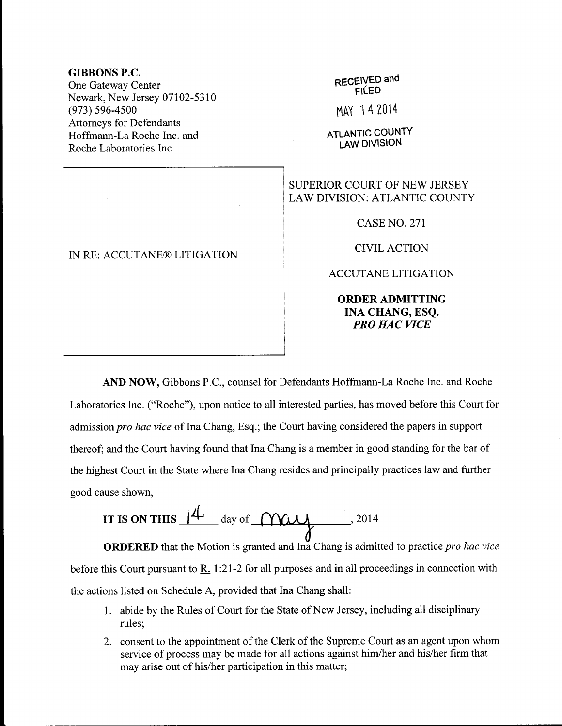## GIBBONS P.C.

One Gateway Center Newark, New Jersey 07102-5310 (e73) s96-4s00 Attorneys for Defendants Hoffmann-La Roche Inc. and Roche Laboratories Inc.

## IN RE: ACCUTANE@ LITIGATION

RECEIVED and FILED

MAY 14 2014

**ATLANTIC COUNTY** LAW DIVISION

## SUPERIOR COURT OF NEW JERSEY LAW DIVISION: ATLANTIC COUNTY

CASE NO. 271

**CIVIL ACTION** 

ACCUTANE LITIGATION

ORDER ADMITTING INA CHANG, ESQ. **PRO HAC VICE** 

AND NOW, Gibbons P.C., counsel for Defendants Hoffrnann-La Roche Inc. and Roche Laboratories Inc. ("Roche"), upon notice to all interested parties, has moved before this Court for admission pro hac vice of Ina Chang, Esq.; the Court having considered the papers in support thereof; and the Court having found that Ina Chang is a member in good standing for the bar of the highest Court in the State where Ina Chang resides and principally practices law and further good cause shown,

IT IS ON THIS 
$$
14
$$
 day of  $12^{14}$ 

ORDERED that the Motion is granted and Ina Chang is admitted to practice pro hac vice before this Court pursuant to R. 1:21-2 for all purposes and in all proceedings in connection with the actions listed on Schedule A, provided that Ina Chang shall:

- 1. abide by the Rules of Court for the State of New Jersey, including all disciplinary rules;
- 2. consent to the appointment of the Clerk of the Supreme Court as an agent upon whom service of process may be made for all actions against him/her and his/her firm that may arise out of his/her participation in this matter;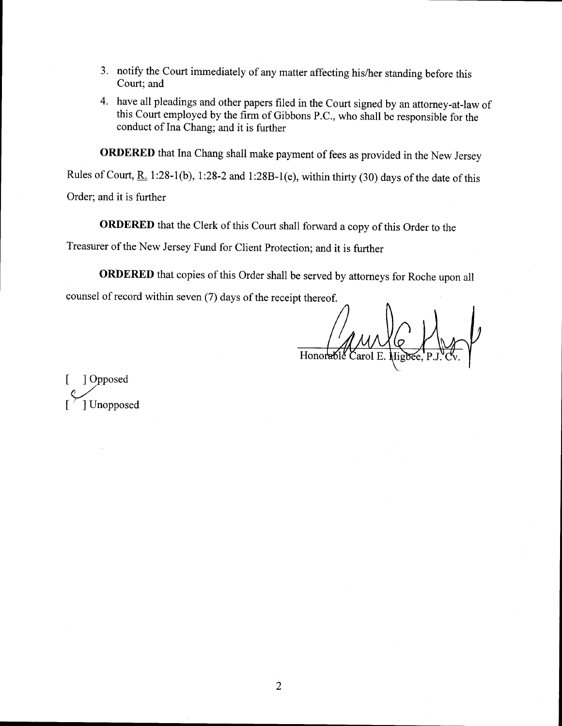- 3. notify the Court immediately of any matter affecting his/her standing before this Court; and
- 4. have all pleadings and other papers filed in the Court signed by an attorney-at-law of this Court employed by the firm of Gibbons P.C., who shall be responsible for the conduct of Ina Chang; and it is further

ORDERED that Ina Chang shall make payment of fees as provided in the New Jersey

Rules of Court, R. 1:28-1(b), 1:28-2 and 1:28B-1(e), within thirty (30) days of the date of this

Order; and it is further

ORDERED that the Clerk of this Court shall forward a copy of this Order to the

Treasurer of the New Jersey Fund for client Protection; and it is fuither

**ORDERED** that copies of this Order shall be served by attorneys for Roche upon all counsel of record within seven (7) days of the receipt thereof.

Honorable Carol

1 Opposed I \*Yvosed [ / ] Unopposed